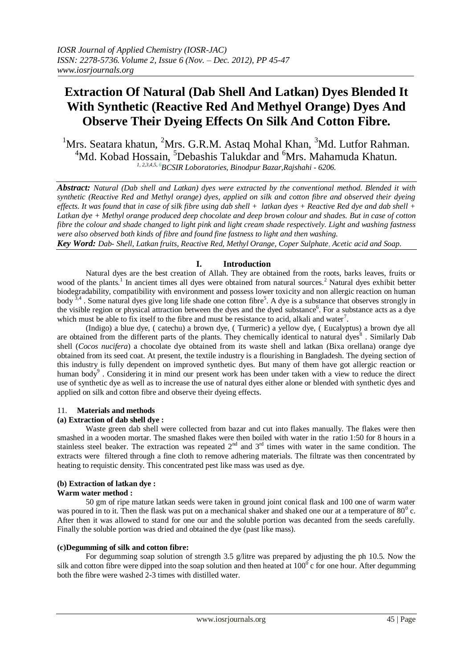# **Extraction Of Natural (Dab Shell And Latkan) Dyes Blended It With Synthetic (Reactive Red And Methyel Orange) Dyes And Observe Their Dyeing Effects On Silk And Cotton Fibre.**

<sup>1</sup>Mrs. Seatara khatun, <sup>2</sup>Mrs. G.R.M. Astaq Mohal Khan, <sup>3</sup>Md. Lutfor Rahman. <sup>4</sup>Md. Kobad Hossain, <sup>5</sup>Debashis Talukdar and <sup>6</sup>Mrs. Mahamuda Khatun. *1, 2,3,4,5, <sup>6</sup>BCSIR Loboratories, Binodpur Bazar,Rajshahi - 6206.*

*Abstract: Natural (Dab shell and Latkan) dyes were extracted by the conventional method. Blended it with synthetic (Reactive Red and Methyl orange) dyes, applied on silk and cotton fibre and observed their dyeing effects. It was found that in case of silk fibre using dab shell + latkan dyes + Reactive Red dye and dab shell + Latkan dye + Methyl orange produced deep chocolate and deep brown colour and shades. But in case of cotton fibre the colour and shade changed to light pink and light cream shade respectively. Light and washing fastness were also observed both kinds of fibre and found fine fastness to light and then washing.*

*Key Word: Dab- Shell, Latkan fruits, Reactive Red, Methyl Orange, Coper Sulphate, Acetic acid and Soap.*

## **I. Introduction**

Natural dyes are the best creation of Allah. They are obtained from the roots, barks leaves, fruits or wood of the plants.<sup>1</sup> In ancient times all dyes were obtained from natural sources.<sup>2</sup> Natural dyes exhibit better biodegradability, compatibility with environment and possess lower toxicity and non allergic reaction on human body  $3,4$ . Some natural dyes give long life shade one cotton fibre<sup>5</sup>. A dye is a substance that observes strongly in the visible region or physical attraction between the dyes and the dyed substance<sup>6</sup>. For a substance acts as a dye which must be able to fix itself to the fibre and must be resistance to acid, alkali and water<sup>7</sup>.

(Indigo) a blue dye, ( catechu) a brown dye, ( Turmeric) a yellow dye, ( Eucalyptus) a brown dye all are obtained from the different parts of the plants. They chemically identical to natural dyes<sup>8</sup>. Similarly Dab shell (*Cocos nucifera*) a chocolate dye obtained from its waste shell and latkan (Bixa orellana) orange dye obtained from its seed coat. At present, the textile industry is a flourishing in Bangladesh. The dyeing section of this industry is fully dependent on improved synthetic dyes. But many of them have got allergic reaction or human body<sup>9</sup>. Considering it in mind our present work has been under taken with a view to reduce the direct use of synthetic dye as well as to increase the use of natural dyes either alone or blended with synthetic dyes and applied on silk and cotton fibre and observe their dyeing effects.

## 11. **Materials and methods**

## **(a) Extraction of dab shell dye :**

Waste green dab shell were collected from bazar and cut into flakes manually. The flakes were then smashed in a wooden mortar. The smashed flakes were then boiled with water in the ratio 1:50 for 8 hours in a stainless steel beaker. The extraction was repeated  $2<sup>nd</sup>$  and  $3<sup>rd</sup>$  times with water in the same condition. The extracts were filtered through a fine cloth to remove adhering materials. The filtrate was then concentrated by heating to requistic density. This concentrated pest like mass was used as dye.

## **(b) Extraction of latkan dye :**

# **Warm water method :**

50 gm of ripe mature latkan seeds were taken in ground joint conical flask and 100 one of warm water was poured in to it. Then the flask was put on a mechanical shaker and shaked one our at a temperature of  $80^0$  c. After then it was allowed to stand for one our and the soluble portion was decanted from the seeds carefully. Finally the soluble portion was dried and obtained the dye (past like mass).

## **(c)Degumming of silk and cotton fibre:**

For degumming soap solution of strength 3.5 g/litre was prepared by adjusting the ph 10.5. Now the silk and cotton fibre were dipped into the soap solution and then heated at  $100^\circ$  c for one hour. After degumming both the fibre were washed 2-3 times with distilled water.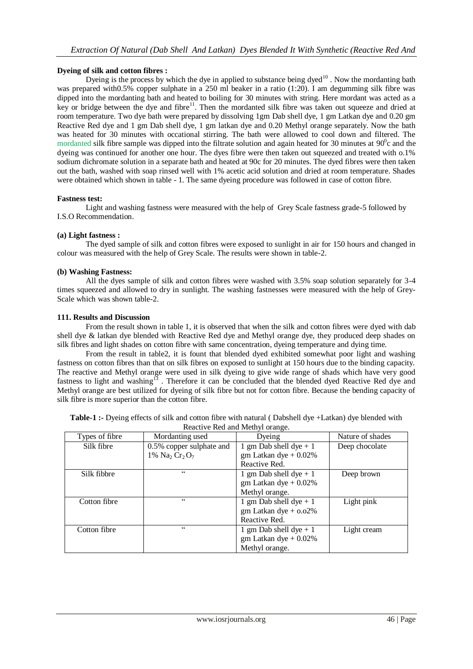## **Dyeing of silk and cotton fibres :**

Dyeing is the process by which the dye in applied to substance being  $dyed<sup>10</sup>$ . Now the mordanting bath was prepared with0.5% copper sulphate in a 250 ml beaker in a ratio (1:20). I am degumming silk fibre was dipped into the mordanting bath and heated to boiling for 30 minutes with string. Here mordant was acted as a key or bridge between the dye and fibre<sup>11</sup>. Then the mordanted silk fibre was taken out squeeze and dried at room temperature. Two dye bath were prepared by dissolving 1gm Dab shell dye, 1 gm Latkan dye and 0.20 gm Reactive Red dye and 1 gm Dab shell dye, 1 gm latkan dye and 0.20 Methyl orange separately. Now the bath was heated for 30 minutes with occational stirring. The bath were allowed to cool down and filtered. The mordanted silk fibre sample was dipped into the filtrate solution and again heated for 30 minutes at  $90^\circ$ c and the dyeing was continued for another one hour. The dyes fibre were then taken out squeezed and treated with o.1% sodium dichromate solution in a separate bath and heated at 90c for 20 minutes. The dyed fibres were then taken out the bath, washed with soap rinsed well with 1% acetic acid solution and dried at room temperature. Shades were obtained which shown in table - 1. The same dyeing procedure was followed in case of cotton fibre.

## **Fastness test:**

Light and washing fastness were measured with the help of Grey Scale fastness grade-5 followed by I.S.O Recommendation.

## **(a) Light fastness :**

The dyed sample of silk and cotton fibres were exposed to sunlight in air for 150 hours and changed in colour was measured with the help of Grey Scale. The results were shown in table-2.

## **(b) Washing Fastness:**

All the dyes sample of silk and cotton fibres were washed with 3.5% soap solution separately for 3-4 times squeezed and allowed to dry in sunlight. The washing fastnesses were measured with the help of Grey-Scale which was shown table-2.

## **111. Results and Discussion**

From the result shown in table 1, it is observed that when the silk and cotton fibres were dyed with dab shell dye & latkan dye blended with Reactive Red dye and Methyl orange dye, they produced deep shades on silk fibres and light shades on cotton fibre with same concentration, dyeing temperature and dying time.

From the result in table2, it is fount that blended dyed exhibited somewhat poor light and washing fastness on cotton fibres than that on silk fibres on exposed to sunlight at 150 hours due to the binding capacity. The reactive and Methyl orange were used in silk dyeing to give wide range of shads which have very good fastness to light and washing<sup>13</sup>. Therefore it can be concluded that the blended dyed Reactive Red dye and Methyl orange are best utilized for dyeing of silk fibre but not for cotton fibre. Because the bending capacity of silk fibre is more superior than the cotton fibre.

| Reactive Red and Methyl orange. |                                                   |                            |                  |  |
|---------------------------------|---------------------------------------------------|----------------------------|------------------|--|
| Types of fibre                  | Mordanting used                                   | Dyeing                     | Nature of shades |  |
| Silk fibre                      | 0.5% copper sulphate and                          | 1 gm Dab shell dye $+1$    | Deep chocolate   |  |
|                                 | 1% Na <sub>2</sub> Cr <sub>2</sub> O <sub>7</sub> | $gm$ Latkan dye + 0.02%    |                  |  |
|                                 |                                                   | Reactive Red.              |                  |  |
| Silk fibbre                     | $\epsilon$                                        | 1 gm Dab shell dye $+1$    | Deep brown       |  |
|                                 |                                                   | $gm$ Latkan dye + 0.02%    |                  |  |
|                                 |                                                   | Methyl orange.             |                  |  |
| Cotton fibre                    | $\epsilon$                                        | 1 gm Dab shell dye $+1$    | Light pink       |  |
|                                 |                                                   | $gm$ Latkan dye + $0.02\%$ |                  |  |
|                                 |                                                   | Reactive Red.              |                  |  |
| Cotton fibre                    | $\subset \subset$                                 | 1 gm Dab shell dye $+1$    | Light cream      |  |
|                                 |                                                   | $gm$ Latkan dye + 0.02%    |                  |  |
|                                 |                                                   | Methyl orange.             |                  |  |

**Table-1 :-** Dyeing effects of silk and cotton fibre with natural ( Dabshell dye +Latkan) dye blended with Reactive Red and Methyl orange.